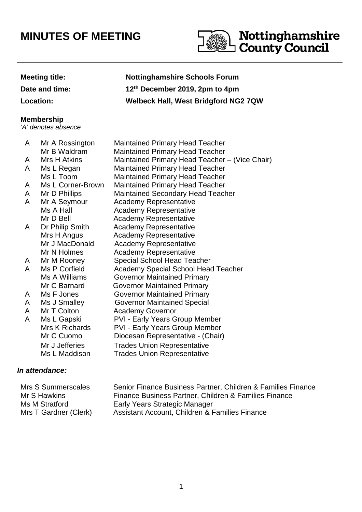# **MINUTES OF MEETING**



## **Meeting title: Nottinghamshire Schools Forum Date and time: 12th December 2019, 2pm to 4pm Location: Welbeck Hall, West Bridgford NG2 7QW**

#### **Membership**

'A' denotes absence

| A | Mr A Rossington   | <b>Maintained Primary Head Teacher</b>         |
|---|-------------------|------------------------------------------------|
|   | Mr B Waldram      | <b>Maintained Primary Head Teacher</b>         |
| A | Mrs H Atkins      | Maintained Primary Head Teacher - (Vice Chair) |
| A | Ms L Regan        | <b>Maintained Primary Head Teacher</b>         |
|   | Ms L Toom         | <b>Maintained Primary Head Teacher</b>         |
| A | Ms L Corner-Brown | <b>Maintained Primary Head Teacher</b>         |
| A | Mr D Phillips     | <b>Maintained Secondary Head Teacher</b>       |
| A | Mr A Seymour      | <b>Academy Representative</b>                  |
|   | Ms A Hall         | <b>Academy Representative</b>                  |
|   | Mr D Bell         | <b>Academy Representative</b>                  |
| A | Dr Philip Smith   | <b>Academy Representative</b>                  |
|   | Mrs H Angus       | <b>Academy Representative</b>                  |
|   | Mr J MacDonald    | <b>Academy Representative</b>                  |
|   | Mr N Holmes       | <b>Academy Representative</b>                  |
| A | Mr M Rooney       | <b>Special School Head Teacher</b>             |
| A | Ms P Corfield     | Academy Special School Head Teacher            |
|   | Ms A Williams     | <b>Governor Maintained Primary</b>             |
|   | Mr C Barnard      | <b>Governor Maintained Primary</b>             |
| A | Ms F Jones        | <b>Governor Maintained Primary</b>             |
| A | Ms J Smalley      | <b>Governor Maintained Special</b>             |
| A | Mr T Colton       | <b>Academy Governor</b>                        |
| A | Ms L Gapski       | PVI - Early Years Group Member                 |
|   | Mrs K Richards    | <b>PVI - Early Years Group Member</b>          |
|   | Mr C Cuomo        | Diocesan Representative - (Chair)              |
|   | Mr J Jefferies    | <b>Trades Union Representative</b>             |
|   | Ms L Maddison     | <b>Trades Union Representative</b>             |
|   |                   |                                                |

#### **In attendance:**

| Mrs S Summerscales    | Senior Finance Business Partner, Children & Families Finance |
|-----------------------|--------------------------------------------------------------|
| Mr S Hawkins          | Finance Business Partner, Children & Families Finance        |
| Ms M Stratford        | Early Years Strategic Manager                                |
| Mrs T Gardner (Clerk) | Assistant Account, Children & Families Finance               |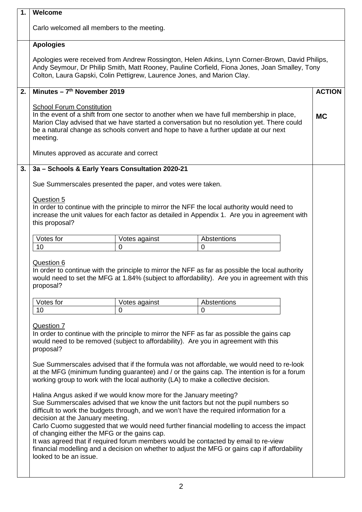| 1. | Welcome                                                                                                                                                                                                                                                                                                                                                                                                                                                                                                                                                                                                                                                                                                                                                                                                                                                                                                                                                                                                                                                                                                                                                  |               |                                                                                                                                                                                                   |               |
|----|----------------------------------------------------------------------------------------------------------------------------------------------------------------------------------------------------------------------------------------------------------------------------------------------------------------------------------------------------------------------------------------------------------------------------------------------------------------------------------------------------------------------------------------------------------------------------------------------------------------------------------------------------------------------------------------------------------------------------------------------------------------------------------------------------------------------------------------------------------------------------------------------------------------------------------------------------------------------------------------------------------------------------------------------------------------------------------------------------------------------------------------------------------|---------------|---------------------------------------------------------------------------------------------------------------------------------------------------------------------------------------------------|---------------|
|    | Carlo welcomed all members to the meeting.                                                                                                                                                                                                                                                                                                                                                                                                                                                                                                                                                                                                                                                                                                                                                                                                                                                                                                                                                                                                                                                                                                               |               |                                                                                                                                                                                                   |               |
|    | <b>Apologies</b>                                                                                                                                                                                                                                                                                                                                                                                                                                                                                                                                                                                                                                                                                                                                                                                                                                                                                                                                                                                                                                                                                                                                         |               |                                                                                                                                                                                                   |               |
|    | Apologies were received from Andrew Rossington, Helen Atkins, Lynn Corner-Brown, David Philips,<br>Andy Seymour, Dr Philip Smith, Matt Rooney, Pauline Corfield, Fiona Jones, Joan Smalley, Tony<br>Colton, Laura Gapski, Colin Pettigrew, Laurence Jones, and Marion Clay.                                                                                                                                                                                                                                                                                                                                                                                                                                                                                                                                                                                                                                                                                                                                                                                                                                                                              |               |                                                                                                                                                                                                   |               |
| 2. | Minutes $-7th$ November 2019                                                                                                                                                                                                                                                                                                                                                                                                                                                                                                                                                                                                                                                                                                                                                                                                                                                                                                                                                                                                                                                                                                                             |               |                                                                                                                                                                                                   | <b>ACTION</b> |
|    | <b>School Forum Constitution</b><br>In the event of a shift from one sector to another when we have full membership in place,<br><b>MC</b><br>Marion Clay advised that we have started a conversation but no resolution yet. There could                                                                                                                                                                                                                                                                                                                                                                                                                                                                                                                                                                                                                                                                                                                                                                                                                                                                                                                 |               |                                                                                                                                                                                                   |               |
|    | meeting.                                                                                                                                                                                                                                                                                                                                                                                                                                                                                                                                                                                                                                                                                                                                                                                                                                                                                                                                                                                                                                                                                                                                                 |               | be a natural change as schools convert and hope to have a further update at our next                                                                                                              |               |
|    | Minutes approved as accurate and correct                                                                                                                                                                                                                                                                                                                                                                                                                                                                                                                                                                                                                                                                                                                                                                                                                                                                                                                                                                                                                                                                                                                 |               |                                                                                                                                                                                                   |               |
| 3. | 3a - Schools & Early Years Consultation 2020-21                                                                                                                                                                                                                                                                                                                                                                                                                                                                                                                                                                                                                                                                                                                                                                                                                                                                                                                                                                                                                                                                                                          |               |                                                                                                                                                                                                   |               |
|    | Sue Summerscales presented the paper, and votes were taken.                                                                                                                                                                                                                                                                                                                                                                                                                                                                                                                                                                                                                                                                                                                                                                                                                                                                                                                                                                                                                                                                                              |               |                                                                                                                                                                                                   |               |
|    | Question 5                                                                                                                                                                                                                                                                                                                                                                                                                                                                                                                                                                                                                                                                                                                                                                                                                                                                                                                                                                                                                                                                                                                                               |               |                                                                                                                                                                                                   |               |
|    |                                                                                                                                                                                                                                                                                                                                                                                                                                                                                                                                                                                                                                                                                                                                                                                                                                                                                                                                                                                                                                                                                                                                                          |               | In order to continue with the principle to mirror the NFF the local authority would need to<br>increase the unit values for each factor as detailed in Appendix 1. Are you in agreement with      |               |
|    | this proposal?                                                                                                                                                                                                                                                                                                                                                                                                                                                                                                                                                                                                                                                                                                                                                                                                                                                                                                                                                                                                                                                                                                                                           |               |                                                                                                                                                                                                   |               |
|    | Votes for                                                                                                                                                                                                                                                                                                                                                                                                                                                                                                                                                                                                                                                                                                                                                                                                                                                                                                                                                                                                                                                                                                                                                | Votes against | Abstentions                                                                                                                                                                                       |               |
|    | 10                                                                                                                                                                                                                                                                                                                                                                                                                                                                                                                                                                                                                                                                                                                                                                                                                                                                                                                                                                                                                                                                                                                                                       | 0             | 0                                                                                                                                                                                                 |               |
|    | Question 6<br>proposal?                                                                                                                                                                                                                                                                                                                                                                                                                                                                                                                                                                                                                                                                                                                                                                                                                                                                                                                                                                                                                                                                                                                                  |               | In order to continue with the principle to mirror the NFF as far as possible the local authority<br>would need to set the MFG at 1.84% (subject to affordability). Are you in agreement with this |               |
|    | Votes for                                                                                                                                                                                                                                                                                                                                                                                                                                                                                                                                                                                                                                                                                                                                                                                                                                                                                                                                                                                                                                                                                                                                                | Votes against | Abstentions                                                                                                                                                                                       |               |
|    | 10                                                                                                                                                                                                                                                                                                                                                                                                                                                                                                                                                                                                                                                                                                                                                                                                                                                                                                                                                                                                                                                                                                                                                       | 0             | 0                                                                                                                                                                                                 |               |
|    | Question 7<br>In order to continue with the principle to mirror the NFF as far as possible the gains cap<br>would need to be removed (subject to affordability). Are you in agreement with this<br>proposal?<br>Sue Summerscales advised that if the formula was not affordable, we would need to re-look<br>at the MFG (minimum funding guarantee) and / or the gains cap. The intention is for a forum<br>working group to work with the local authority (LA) to make a collective decision.<br>Halina Angus asked if we would know more for the January meeting?<br>Sue Summerscales advised that we know the unit factors but not the pupil numbers so<br>difficult to work the budgets through, and we won't have the required information for a<br>decision at the January meeting.<br>Carlo Cuomo suggested that we would need further financial modelling to access the impact<br>of changing either the MFG or the gains cap.<br>It was agreed that if required forum members would be contacted by email to re-view<br>financial modelling and a decision on whether to adjust the MFG or gains cap if affordability<br>looked to be an issue. |               |                                                                                                                                                                                                   |               |
|    |                                                                                                                                                                                                                                                                                                                                                                                                                                                                                                                                                                                                                                                                                                                                                                                                                                                                                                                                                                                                                                                                                                                                                          |               |                                                                                                                                                                                                   |               |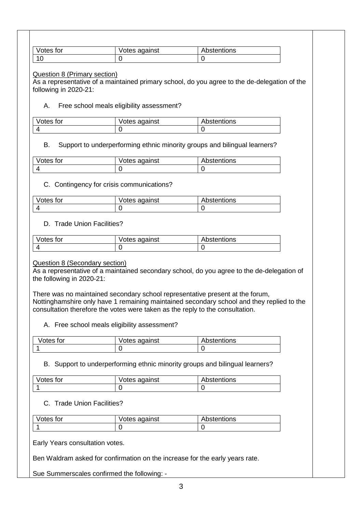| Votes for      | Votes against | Abstentions |
|----------------|---------------|-------------|
| $\overline{A}$ |               |             |

#### Question 8 (Primary section)

As a representative of a maintained primary school, do you agree to the de-delegation of the following in 2020-21:

#### A. Free school meals eligibility assessment?

| Votes for | Votes against | Abstentions |
|-----------|---------------|-------------|
|           |               |             |

#### B. Support to underperforming ethnic minority groups and bilingual learners?

| Votes for | Votes against | Abstentions |
|-----------|---------------|-------------|
|           |               |             |

#### C. Contingency for crisis communications?

| Votes for | Votes against | Abstentions |
|-----------|---------------|-------------|
|           |               |             |

#### D. Trade Union Facilities?

| Votes for | Votes against | Abstentions |
|-----------|---------------|-------------|
|           |               |             |

#### Question 8 (Secondary section)

As a representative of a maintained secondary school, do you agree to the de-delegation of the following in 2020-21:

There was no maintained secondary school representative present at the forum, Nottinghamshire only have 1 remaining maintained secondary school and they replied to the consultation therefore the votes were taken as the reply to the consultation.

A. Free school meals eligibility assessment?

| Votes for | Votes against | Abstentions |
|-----------|---------------|-------------|
|           |               |             |

#### B. Support to underperforming ethnic minority groups and bilingual learners?

| Votes for | Votes against | Abstentions |
|-----------|---------------|-------------|
|           |               |             |

#### C. Trade Union Facilities?

| Votes for | Votes against | <b>Abstentions</b> |
|-----------|---------------|--------------------|
|           |               |                    |

Early Years consultation votes.

Ben Waldram asked for confirmation on the increase for the early years rate.

Sue Summerscales confirmed the following: -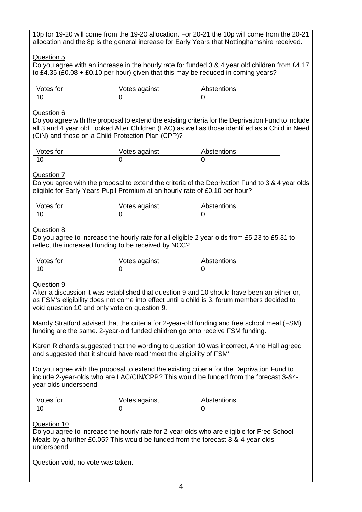10p for 19-20 will come from the 19-20 allocation. For 20-21 the 10p will come from the 20-21 allocation and the 8p is the general increase for Early Years that Nottinghamshire received.

#### Question 5

Do you agree with an increase in the hourly rate for funded 3 & 4 year old children from £4.17 to £4.35 (£0.08 + £0.10 per hour) given that this may be reduced in coming years?

| Votes for        | Votes against | Abstentions |
|------------------|---------------|-------------|
| $\Lambda$ $\cap$ |               |             |

#### Question 6

Do you agree with the proposal to extend the existing criteria for the Deprivation Fund to include all 3 and 4 year old Looked After Children (LAC) as well as those identified as a Child in Need (CiN) and those on a Child Protection Plan (CPP)?

| Votes for | Votes against | Abstentions |
|-----------|---------------|-------------|
| $-10$     |               |             |

#### Question 7

Do you agree with the proposal to extend the criteria of the Deprivation Fund to 3 & 4 year olds eligible for Early Years Pupil Premium at an hourly rate of £0.10 per hour?

| Votes for | Votes against | Abstentions |
|-----------|---------------|-------------|
|           |               |             |

#### Question 8

Do you agree to increase the hourly rate for all eligible 2 year olds from £5.23 to £5.31 to reflect the increased funding to be received by NCC?

| Votes for | Votes against | Abstentions |
|-----------|---------------|-------------|
|           |               |             |

#### Question 9

After a discussion it was established that question 9 and 10 should have been an either or, as FSM's eligibility does not come into effect until a child is 3, forum members decided to void question 10 and only vote on question 9.

Mandy Stratford advised that the criteria for 2-year-old funding and free school meal (FSM) funding are the same. 2-year-old funded children go onto receive FSM funding.

Karen Richards suggested that the wording to question 10 was incorrect, Anne Hall agreed and suggested that it should have read 'meet the eligibility of FSM'

Do you agree with the proposal to extend the existing criteria for the Deprivation Fund to include 2-year-olds who are LAC/CIN/CPP? This would be funded from the forecast 3-&4 year olds underspend.

| Votes for | Votes against | Abstentions |
|-----------|---------------|-------------|
|           |               |             |

#### Question 10

Do you agree to increase the hourly rate for 2-year-olds who are eligible for Free School Meals by a further £0.05? This would be funded from the forecast 3-&-4-year-olds underspend.

Question void, no vote was taken.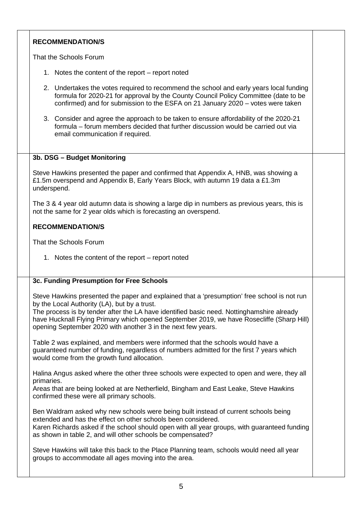### **RECOMMENDATION/S**

That the Schools Forum

- 1. Notes the content of the report report noted
- 2. Undertakes the votes required to recommend the school and early years local funding formula for 2020-21 for approval by the County Council Policy Committee (date to be confirmed) and for submission to the ESFA on 21 January 2020 – votes were taken
- 3. Consider and agree the approach to be taken to ensure affordability of the 2020-21 formula – forum members decided that further discussion would be carried out via email communication if required.

#### **3b. DSG – Budget Monitoring**

Steve Hawkins presented the paper and confirmed that Appendix A, HNB, was showing a £1.5m overspend and Appendix B, Early Years Block, with autumn 19 data a £1.3m underspend.

The 3 & 4 year old autumn data is showing a large dip in numbers as previous years, this is not the same for 2 year olds which is forecasting an overspend.

#### **RECOMMENDATION/S**

That the Schools Forum

1. Notes the content of the report – report noted

#### **3c. Funding Presumption for Free Schools**

Steve Hawkins presented the paper and explained that a 'presumption' free school is not run by the Local Authority (LA), but by a trust.

The process is by tender after the LA have identified basic need. Nottinghamshire already have Hucknall Flying Primary which opened September 2019, we have Rosecliffe (Sharp Hill) opening September 2020 with another 3 in the next few years.

Table 2 was explained, and members were informed that the schools would have a guaranteed number of funding, regardless of numbers admitted for the first 7 years which would come from the growth fund allocation.

Halina Angus asked where the other three schools were expected to open and were, they all primaries.

Areas that are being looked at are Netherfield, Bingham and East Leake, Steve Hawkins confirmed these were all primary schools.

Ben Waldram asked why new schools were being built instead of current schools being extended and has the effect on other schools been considered.

Karen Richards asked if the school should open with all year groups, with guaranteed funding as shown in table 2, and will other schools be compensated?

Steve Hawkins will take this back to the Place Planning team, schools would need all year groups to accommodate all ages moving into the area.